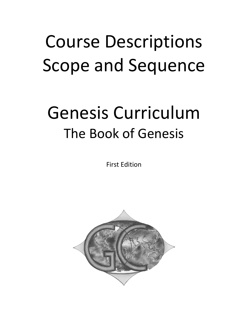# Course Descriptions Scope and Sequence

## Genesis Curriculum The Book of Genesis

First Edition

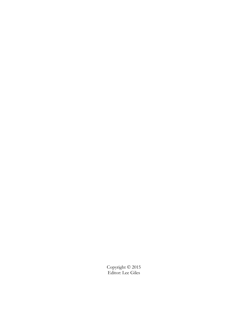Copyright © 2015 Editor: Lee Giles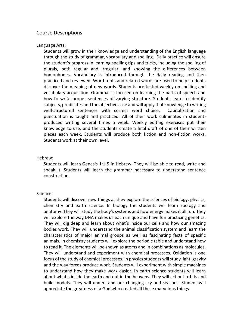## Course Descriptions

Language Arts:

Students will grow in their knowledge and understanding of the English language through the study of grammar, vocabulary and spelling. Daily practice will ensure the student's progress in learning spelling tips and tricks, including the spelling of plurals, both regular and irregular, and knowing the differences between homophones. Vocabulary is introduced through the daily reading and then practiced and reviewed. Word roots and related words are used to help students discover the meaning of new words. Students are tested weekly on spelling and vocabulary acquisition. Grammar is focused on learning the parts of speech and how to write proper sentences of varying structure. Students learn to identify subjects, predicates and the objective case and will apply that knowledge to writing well-structured sentences with correct word choice. Capitalization and punctuation is taught and practiced. All of their work culminates in studentproduced writing several times a week. Weekly editing exercises put their knowledge to use, and the students create a final draft of one of their written pieces each week. Students will produce both fiction and non-fiction works. Students work at their own level.

#### Hebrew:

Students will learn Genesis 1:1-5 in Hebrew. They will be able to read, write and speak it. Students will learn the grammar necessary to understand sentence construction.

#### Science:

Students will discover new things as they explore the sciences of biology, physics, chemistry and earth science. In biology the students will learn zoology and anatomy. They will study the body's systems and how energy makes it all run. They will explore the way DNA makes us each unique and have fun practicing genetics. They will dig deep and learn about what's inside our cells and how our amazing bodies work. They will understand the animal classification system and learn the characteristics of major animal groups as well as fascinating facts of specific animals. In chemistry students will explore the periodic table and understand how to read it. The elements will be shown as atoms and in combinations as molecules. They will understand and experiment with chemical processes. Oxidation is one focus of the study of chemical processes. In physics students will study light, gravity and the way forces produce work. Students will experiment with simple machines to understand how they make work easier. In earth science students will learn about what's inside the earth and out in the heavens. They will act out orbits and build models. They will understand our changing sky and seasons. Student will appreciate the greatness of a God who created all these marvelous things.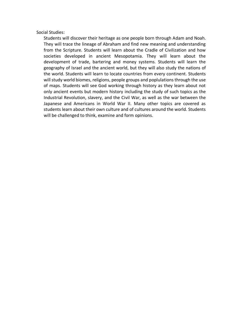Social Studies:

Students will discover their heritage as one people born through Adam and Noah. They will trace the lineage of Abraham and find new meaning and understanding from the Scripture. Students will learn about the Cradle of Civilization and how societies developed in ancient Mesopotamia. They will learn about the development of trade, bartering and money systems. Students will learn the geography of Israel and the ancient world, but they will also study the nations of the world. Students will learn to locate countries from every continent. Students will study world biomes, religions, people groups and poplulations through the use of maps. Students will see God working through history as they learn about not only ancient events but modern history including the study of such topics as the Industrial Revolution, slavery, and the Civil War, as well as the war between the Japanese and Americans in World War II. Many other topics are covered as students learn about their own culture and of cultures around the world. Students will be challenged to think, examine and form opinions.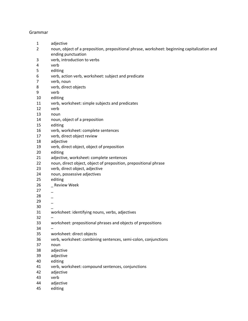#### Grammar

- adjective
- noun, object of a preposition, prepositional phrase, worksheet: beginning capitalization and ending punctuation
- verb, introduction to verbs
- verb
- editing
- verb, action verb, worksheet: subject and predicate
- verb, noun
- verb, direct objects
- verb
- editing
- verb, worksheet: simple subjects and predicates
- verb
- noun
- noun, object of a preposition
- editing
- verb, worksheet: complete sentences
- verb, direct object review
- adjective
- verb, direct object, object of preposition
- editing
- adjective, worksheet: complete sentences
- noun, direct object, object of preposition, prepositional phrase
- verb, direct object, adjective
- noun, possessive adjectives
- editing
- \_ Review Week
- \_
- $-$
- \_
- \_
- worksheet: identifying nouns, verbs, adjectives
- –
- worksheet: prepositional phrases and objects of prepositions
- –
- worksheet: direct objects
- verb, worksheet: combining sentences, semi-colon, conjunctions
- noun
- adjective
- adjective
- editing
- verb, worksheet: compound sentences, conjunctions
- adjective
- verb
- adjective
- editing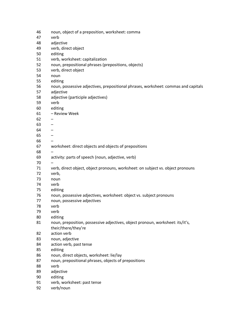| 46 | noun, object of a preposition, worksheet: comma                                    |
|----|------------------------------------------------------------------------------------|
| 47 | verb                                                                               |
| 48 | adjective                                                                          |
| 49 | verb, direct object                                                                |
| 50 | editing                                                                            |
| 51 | verb, worksheet: capitalization                                                    |
| 52 | noun, prepositional phrases (prepositions, objects)                                |
| 53 | verb, direct object                                                                |
| 54 | noun                                                                               |
| 55 | editing                                                                            |
| 56 | noun, possessive adjectives, prepositional phrases, worksheet: commas and capitals |
| 57 | adjective                                                                          |
| 58 | adjective (participle adjectives)                                                  |
| 59 | verb                                                                               |
| 60 | editing                                                                            |
| 61 | - Review Week                                                                      |
| 62 |                                                                                    |
| 63 |                                                                                    |
| 64 |                                                                                    |
| 65 |                                                                                    |
| 66 |                                                                                    |
| 67 | worksheet: direct objects and objects of prepositions                              |
| 68 |                                                                                    |
| 69 | activity: parts of speech (noun, adjective, verb)                                  |
| 70 |                                                                                    |
| 71 | verb, direct object, object pronouns, worksheet: on subject vs. object pronouns    |
| 72 | verb,                                                                              |
| 73 |                                                                                    |
| 74 | noun<br>verb                                                                       |
| 75 | editing                                                                            |
| 76 | noun, possessive adjectives, worksheet: object vs. subject pronouns                |
| 77 | noun, possessive adjectives                                                        |
| 78 | verb                                                                               |
|    |                                                                                    |
| 79 | verb                                                                               |
| 80 | editing                                                                            |
| 81 | noun, preposition, possessive adjectives, object pronoun, worksheet: its/it's,     |
| 82 | their/there/they're<br>action verb                                                 |
| 83 |                                                                                    |
|    | noun, adjective                                                                    |
| 84 | action verb, past tense                                                            |
| 85 | editing                                                                            |
| 86 | noun, direct objects, worksheet: lie/lay                                           |
| 87 | noun, prepositional phrases, objects of prepositions                               |
| 88 | verb                                                                               |
| 89 | adjective                                                                          |
| 90 | editing                                                                            |
| 91 | verb, worksheet: past tense                                                        |
| 92 | verb/noun                                                                          |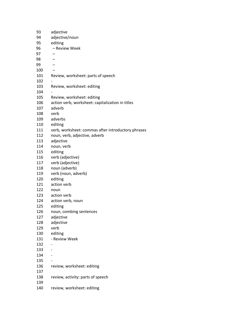| 93  | adjective                                          |
|-----|----------------------------------------------------|
| 94  | adjective/noun                                     |
| 95  | editing                                            |
| 96  | - Review Week                                      |
| 97  |                                                    |
| 98  |                                                    |
| 99  |                                                    |
| 100 |                                                    |
| 101 | Review, worksheet: parts of speech                 |
| 102 |                                                    |
| 103 | Review, worksheet: editing                         |
| 104 |                                                    |
| 105 | Review, worksheet: editing                         |
| 106 | action verb, worksheet: capitalization in titles   |
| 107 | adverb                                             |
| 108 | verb                                               |
| 109 | adverbs                                            |
| 110 | editing                                            |
|     |                                                    |
| 111 | verb, worksheet: commas after introductory phrases |
| 112 | noun, verb, adjective, adverb                      |
| 113 | adjective                                          |
| 114 | noun, verb                                         |
| 115 | editing                                            |
| 116 | verb (adjective)                                   |
| 117 | verb (adjective)                                   |
| 118 | noun (adverb)                                      |
| 119 | verb (noun, adverb)                                |
| 120 | editing                                            |
| 121 | action verb                                        |
| 122 | noun                                               |
| 123 | action verb                                        |
| 124 | action verb, noun                                  |
| 125 | editing                                            |
| 126 | noun, combing sentences                            |
| 127 | adjective                                          |
| 128 | adjective                                          |
| 129 | verb                                               |
| 130 | editing                                            |
| 131 | - Review Week                                      |
| 132 |                                                    |
| 133 |                                                    |
| 134 |                                                    |
| 135 |                                                    |
| 136 | review, worksheet: editing                         |
| 137 |                                                    |
| 138 | review, activity: parts of speech                  |
| 139 |                                                    |
| 140 | review, worksheet: editing                         |
|     |                                                    |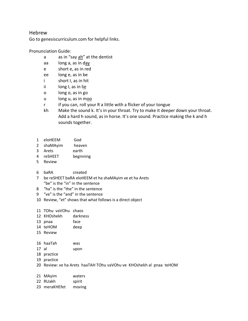### Hebrew

Go to genesiscurriculum.com for helpful links.

#### Pronunciation Guide:

- a as in "say ah" at the dentist
- aa long a, as in day
- e short e, as in red
- ee long e, as in be
- i short I, as in hit
- ii long I, as in lie
- o long o, as in go
- u long u, as in moo
- r if you can, roll your R a little with a flicker of your tongue
- kh Make the sound k. It's in your throat. Try to make it deeper down your throat. Add a hard h sound, as in horse. It's one sound. Practice making the k and h sounds together.
- 1 eloHEEM God
- 2 shaMAyim heaven
- 3 Arets earth
- 4 reSHEET beginning
- 5 Review
- 6 baRA created
- 7 be reSHEET baRA eloHEEM et ha shaMAyim ve et ha Arets "be" is the "in" in the sentence
- 8 "ha" is the "the" in the sentence
- 9 "ve" is the "and" in the sentence
- 10 Review, "et" shows that what follows is a direct object
- 11 TOhu vaVOhu chaos
- 12 KHOshekh darkness
- 13 pnaa face
- 14 teHOM deep
- 15 Review
- 16 haaTah was
- 17 al upon
- 18 practice
- 19 practice
- 20 Review: ve ha Arets haaTAH TOhu vaVOhu ve KHOshekh al pnaa teHOM
- 21 MAyim waters
- 22 RUakh spirit
- 23 meraKHEfet moving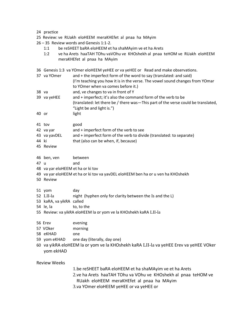#### 24 practice

- 25 Review: ve RUakh eloHEEM meraKHEfet al pnaa ha MAyim
- 26 35 Review words and Genesis 1:1-2.
	- 1:1 be reSHEET baRA eloHEEM et ha shaMAyim ve et ha Arets
	- 1:2 ve ha Arets haaTAH TOhu vaVOhu ve KHOshekh al pnaa teHOM ve RUakh eloHEEM meraKHEfet al pnaa ha MAyim
- 36 Genesis 1:3 va YOmer eloHEEM yeHEE or va yeHEE or Read and make observations.
- 37 va YOmer and + the imperfect form of the word to say (translated: and said) (I'm teaching you how it is in the verse. The vowel sound changes from YOmar to YOmer when va comes before it.) 38 va and, ve changes to va in front of Y
- 39 va yeHEE and + imperfect; it's also the command form of the verb to be (translated: let there be / there was—This part of the verse could be translated, "Light be and light is.")
- 40 or light
- 41 tov good
- 42 va yar and + imperfect form of the verb to see
- 43 va yavDEL and + imperfect form of the verb to divide (translated: to separate)
- 44 ki that (also can be when, if, because)
- 45 Review
- 46 ben, ven between
- 47 u and
- 48 va yar eloHEEM et ha or ki tov
- 49 va yar eloHEEM et ha or ki tov va yavDEL eloHEEM ben ha or u ven ha KHOshekh
- 50 Review
- 51 yom day
- 52 LII-la night (hyphen only for clarity between the Is and the L)
- 53 kaRA, va yikRA called
- 54 le, la to, to the
- 55 Review: va yikRA eloHEEM la or yom ve la KHOshekh kaRA LII-la
- 56 Erev evening
- 57 VOker morning
- 58 eKHAD one
- 59 yom eKHAD one day (literally, day one)
- 60 va yikRA eloHEEM la or yom ve la KHOshekh kaRA LII-la va yeHEE Erev va yeHEE VOker yom ekHAD

Review Weeks

1.be reSHEET baRA eloHEEM et ha shaMAyim ve et ha Arets

- 2.ve ha Arets haaTAH TOhu va VOhu ve KHOshekh al pnaa teHOM ve
- RUakh eloHEEM meraKHEfet al pnaa ha MAyim
- 3.va YOmer eloHEEM yeHEE or va yeHEE or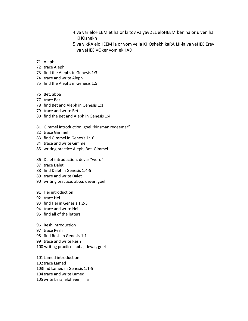- 4.va yar eloHEEM et ha or ki tov va yavDEL eloHEEM ben ha or u ven ha KHOshekh
- 5.va yikRA eloHEEM la or yom ve la KHOshekh kaRA LII-la va yeHEE Erev va yeHEE VOker yom ekHAD
- Aleph
- trace Aleph
- find the Alephs in Genesis 1:3
- trace and write Aleph
- find the Alephs in Genesis 1:5
- Bet, abba
- trace Bet
- find Bet and Aleph in Genesis 1:1
- trace and write Bet
- find the Bet and Aleph in Genesis 1:4
- Gimmel introduction, goel "kinsman redeemer"
- trace Gimmel
- find Gimmel in Genesis 1:16
- trace and write Gimmel
- writing practice Aleph, Bet, Gimmel
- Dalet introduction, devar "word"
- trace Dalet
- find Dalet in Genesis 1:4-5
- trace and write Dalet
- writing practice: abba, devar, goel
- Hei introduction
- trace Hei
- find Hei in Genesis 1:2-3
- trace and write Hei
- find all of the letters
- Resh introduction
- trace Resh
- find Resh in Genesis 1:1
- trace and write Resh
- 100 writing practice: abba, devar, goel

101Lamed introduction 102trace Lamed 103find Lamed in Genesis 1:1-5 104trace and write Lamed 105write bara, eloheem, liila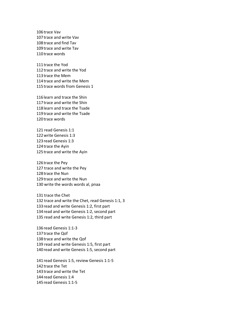106trace Vav 107trace and write Vav 108trace and find Tav 109trace and write Tav 110trace words

111trace the Yod 112trace and write the Yod 113trace the Mem 114trace and write the Mem 115trace words from Genesis 1

116learn and trace the Shin 117trace and write the Shin 118learn and trace the Tsade 119trace and write the Tsade 120trace words

121 read Genesis 1:1 122write Genesis 1:3 123read Genesis 1:3 124trace the Ayin 125trace and write the Ayin

126trace the Pey 127 trace and write the Pey 128trace the Nun 129trace and write the Nun 130 write the words words al, pnaa

131 trace the Chet 132 trace and write the Chet, read Genesis 1:1, 3 133read and write Genesis 1:2, first part 134read and write Genesis 1:2, second part 135 read and write Genesis 1:2, third part

136read Genesis 1:1-3 137trace the Qof 138trace and write the Qof 139 read and write Genesis 1:5, first part 140 read and write Genesis 1:5, second part

141read Genesis 1:5, review Genesis 1:1-5 142trace the Tet 143trace and write the Tet 144read Genesis 1:4 145read Genesis 1:1-5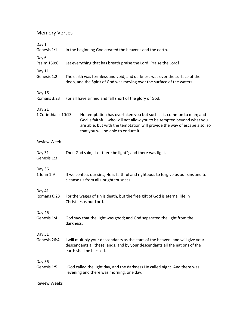## Memory Verses

| Day 1<br>Genesis 1:1          | In the beginning God created the heavens and the earth.                                                                                                                                                                                                        |
|-------------------------------|----------------------------------------------------------------------------------------------------------------------------------------------------------------------------------------------------------------------------------------------------------------|
| Day 6<br>Psalm 150:6          | Let everything that has breath praise the Lord. Praise the Lord!                                                                                                                                                                                               |
| Day 11<br>Genesis 1:2         | The earth was formless and void, and darkness was over the surface of the<br>deep, and the Spirit of God was moving over the surface of the waters.                                                                                                            |
| Day 16<br>Romans 3:23         | For all have sinned and fall short of the glory of God.                                                                                                                                                                                                        |
| Day 21<br>1 Corinthians 10:13 | No temptation has overtaken you but such as is common to man; and<br>God is faithful, who will not allow you to be tempted beyond what you<br>are able, but with the temptation will provide the way of escape also, so<br>that you will be able to endure it. |
| <b>Review Week</b>            |                                                                                                                                                                                                                                                                |
| Day 31<br>Genesis 1:3         | Then God said, "Let there be light"; and there was light.                                                                                                                                                                                                      |
| Day 36<br>1 John 1:9          | If we confess our sins, He is faithful and righteous to forgive us our sins and to<br>cleanse us from all unrighteousness.                                                                                                                                     |
| Day 41<br>Romans 6:23         | For the wages of sin is death, but the free gift of God is eternal life in<br>Christ Jesus our Lord.                                                                                                                                                           |
| Day 46<br>Genesis 1:4         | God saw that the light was good; and God separated the light from the<br>darkness.                                                                                                                                                                             |
| Day 51<br>Genesis 26:4        | I will multiply your descendants as the stars of the heaven, and will give your<br>descendants all these lands; and by your descendants all the nations of the<br>earth shall be blessed.                                                                      |
| Day 56<br>Genesis 1:5         | God called the light day, and the darkness He called night. And there was<br>evening and there was morning, one day.                                                                                                                                           |

Review Weeks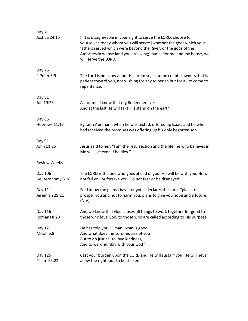| Day 71                      |                                                                                                                                                                                                                                                                                                             |
|-----------------------------|-------------------------------------------------------------------------------------------------------------------------------------------------------------------------------------------------------------------------------------------------------------------------------------------------------------|
| Joshua 24:15                | If it is disagreeable in your sight to serve the LORD, choose for<br>yourselves today whom you will serve: [whether the gods which your<br>fathers served which were beyond the River, or the gods of the<br>Amorites in whose land you are living;] but as for me and my house, we<br>will serve the LORD. |
| Day 76                      |                                                                                                                                                                                                                                                                                                             |
| 2 Peter 3:9                 | The Lord is not slow about His promise, as some count slowness, but is<br>patient toward you, not wishing for any to perish but for all to come to<br>repentance.                                                                                                                                           |
| Day 81                      |                                                                                                                                                                                                                                                                                                             |
| Job 19:25                   | As for me, I know that my Redeemer lives,<br>And at the last He will take His stand on the earth.                                                                                                                                                                                                           |
| Day 86                      |                                                                                                                                                                                                                                                                                                             |
| Hebrews 11:17               | By faith Abraham, when he was tested, offered up Isaac, and he who<br>had received the promises was offering up his only begotten son.                                                                                                                                                                      |
| Day 91                      |                                                                                                                                                                                                                                                                                                             |
| John 11:25                  | Jesus said to her, "I am the resurrection and the life; he who believes in<br>Me will live even if he dies."                                                                                                                                                                                                |
| <b>Review Weeks</b>         |                                                                                                                                                                                                                                                                                                             |
| Day 106<br>Deuteronomy 31:8 | The LORD is the one who goes ahead of you; He will be with you. He will<br>not fail you or forsake you. Do not fear or be dismayed.                                                                                                                                                                         |
| Day 111<br>Jeremiah 29:11   | For I know the plans I have for you," declares the Lord, "plans to<br>prosper you and not to harm you, plans to give you hope and a future.<br>(NIV)                                                                                                                                                        |
| Day 116                     | And we know that God causes all things to work together for good to                                                                                                                                                                                                                                         |
| Romans 8:28                 | those who love God, to those who are called according to His purpose.                                                                                                                                                                                                                                       |
| Day 121                     | He has told you, O man, what is good;                                                                                                                                                                                                                                                                       |
| Micah 6:8                   | And what does the Lord require of you                                                                                                                                                                                                                                                                       |
|                             | But to do justice, to love kindness,<br>And to walk humbly with your God?                                                                                                                                                                                                                                   |
| Day 126                     | Cast your burden upon the LORD and He will sustain you; He will never                                                                                                                                                                                                                                       |
| Psalm 55:22                 | allow the righteous to be shaken.                                                                                                                                                                                                                                                                           |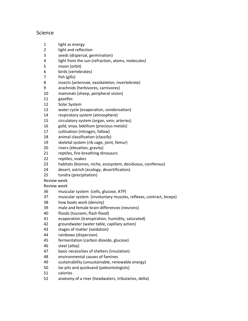## Science

- 1 light as energy
- light and reflection
- seeds (dispersal, germination)
- light from the sun (refraction, atoms, molecules)
- moon (orbit)
- birds (vertebrates)
- fish (gills)
- insects (antennae, exoskeleton, invertebrate)
- arachnids (herbivores, carnivores)
- mammals (sheep, peripheral vision)
- gazelles
- Solar System
- water cycle (evaporation, condensation)
- respiratory system (atmosphere)
- circulatory system (organ, vein, arteries)
- gold, onyx, bdellium (precious metals)
- cultivation (nitrogen, fallow)
- animal classification (classify)
- skeletal system (rib cage, joint, femur)
- rivers (elevation, gravity)
- reptiles, fire-breathing dinosaurs
- reptiles, snakes
- habitats (biomes, niche, ecosystem, deciduous, coniferous)
- desert, ostrich (ecology, desertification)
- tundra (precipitation)

Review week

Review week

- muscular system (cells, glucose, ATP)
- muscular system (involuntary muscles, reflexes, contract, biceps)
- how boats work (density)
- male and female brain differences (neurons)
- floods (tsunami, flash flood)
- evaporation (transpiration, humidity, saturated)
- groundwater (water table, capillary action)
- stages of matter (oxidation)
- rainbows (dispersion)
- fermentation (carbon dioxide, glucose)
- steel (alloy)
- basic necessities of shelters (insulation)
- environmental causes of famines
- sustainability (unsustainable, renewable energy)
- tar pits and quicksand (paleontologists)
- calories
- anatomy of a river (headwaters, tributaries, delta)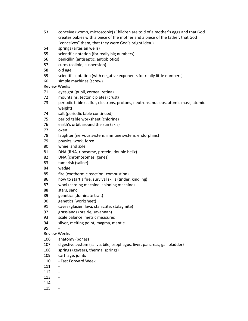- conceive (womb, microscopic) (Children are told of a mother's eggs and that God creates babies with a piece of the mother and a piece of the father, that God "conceives" them, that they were God's bright idea.)
- springs (artesian wells)
- scientific notation (for really big numbers)
- penicillin (antiseptic, antiobiotics)
- curds (colloid, suspension)
- old age
- scientific notation (with negative exponents for really little numbers)
- simple machines (screw)

Review Weeks

- eyesight (pupil, cornea, retina)
- mountains, tectonic plates (crust)
- periodic table (sulfur, electrons, protons, neutrons, nucleus, atomic mass, atomic weight)
- salt (periodic table continued)
- period table worksheet (chlorine)
- earth's orbit around the sun (axis)
- oxen
- laughter (nervous system, immune system, endorphins)
- physics, work, force
- wheel and axle
- DNA (RNA, ribosome, protein, double helix)
- DNA (chromosomes, genes)
- tamarisk (saline)
- wedge
- fire (exothermic reaction, combustion)
- how to start a fire, survival skills (tinder, kindling)
- wool (carding machine, spinning machine)
- stars, sand
- genetics (dominate trait)
- genetics (worksheet)
- caves (glacier, lava, stalactite, stalagmite)
- grasslands (prairie, savannah)
- scale balance, metric measures
- silver, melting point, magma, mantle

-

- Review Weeks
- anatomy (bones)
- digestive system (saliva, bile, esophagus, liver, pancreas, gall bladder)
- springs (geysers, thermal springs)
- cartilage, joints
- Fast Forward Week
- -
- -
- -
- -
- -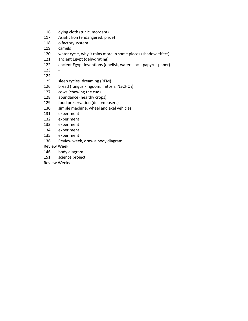- dying cloth (tunic, mordant)
- Asiatic lion (endangered, pride)
- olfactory system
- camels
- water cycle, why it rains more in some places (shadow effect)
- ancient Egypt (dehydrating)
- ancient Egypt inventions (obelisk, water clock, papyrus paper)
- -
- -
- sleep cycles, dreaming (REM)
- 126 bread (fungus kingdom, mitosis, NaCHO<sub>3</sub>)
- cows (chewing the cud)
- abundance (healthy crops)
- food preservation (decomposers)
- simple machine, wheel and axel vehicles
- experiment
- experiment
- experiment
- experiment
- experiment
- Review week, draw a body diagram
- Review Week
- body diagram
- science project
- Review Weeks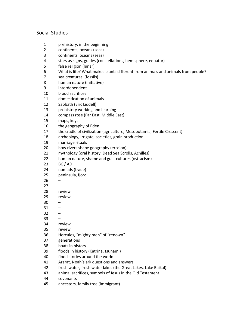## Social Studies

- prehistory, in the beginning
- continents, oceans (seas)
- continents, oceans (seas)
- stars as signs, guides (constellations, hemisphere, equator)
- false religion (lunar)
- What is life? What makes plants different from animals and animals from people?
- sea creatures (fossils)
- human nature (initiative)
- interdependent
- blood sacrifices
- domestication of animals
- Sabbath (Eric Liddell)
- prehistory working and learning
- compass rose (Far East, Middle East)
- maps, keys
- the geography of Eden
- the cradle of civilization (agriculture, Mesopotamia, Fertile Crescent)
- archeology, irrigate, societies, grain production
- marriage rituals
- how rivers shape geography (erosion)
- mythology (oral history, Dead Sea Scrolls, Achilles)
- human nature, shame and guilt cultures (ostracism)
- BC / AD
- nomads (trade)
- peninsula, fjord
- –
- –
- review
- review
- $30 -$
- –
- $32 -$
- –
- review
- review
- Hercules, "mighty men" of "renown"
- generations
- boats in history
- floods in history (Katrina, tsunami)
- flood stories around the world
- Ararat, Noah's ark questions and answers
- fresh water, fresh water lakes (the Great Lakes, Lake Baikal)
- animal sacrifices, symbols of Jesus in the Old Testament
- covenants
- ancestors, family tree (immigrant)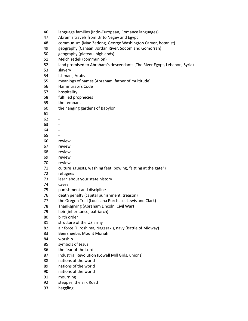| 46 | language families (Indo-European, Romance languages)                     |
|----|--------------------------------------------------------------------------|
| 47 | Abram's travels from Ur to Negev and Egypt                               |
| 48 | communism (Mao Zedong, George Washington Carver, botanist)               |
| 49 | geography (Canaan, Jordan River, Sodom and Gomorrah)                     |
| 50 | geography (plateau, highlands)                                           |
| 51 | Melchizedek (communion)                                                  |
| 52 | land promised to Abraham's descendants (The River Egypt, Lebanon, Syria) |
| 53 | slavery                                                                  |
| 54 | Ishmael, Arabs                                                           |
| 55 | meanings of names (Abraham, father of multitude)                         |
| 56 | Hammurabi's Code                                                         |
| 57 | hospitality                                                              |
| 58 | fulfilled prophecies                                                     |
| 59 | the remnant                                                              |
| 60 | the hanging gardens of Babylon                                           |
| 61 |                                                                          |
| 62 |                                                                          |
| 63 |                                                                          |
| 64 |                                                                          |
| 65 |                                                                          |
| 66 | review                                                                   |
| 67 | review                                                                   |
| 68 | review                                                                   |
| 69 | review                                                                   |
| 70 | review                                                                   |
| 71 | culture (guests, washing feet, bowing, "sitting at the gate")            |
| 72 | refugees                                                                 |
| 73 | learn about your state history                                           |
| 74 | caves                                                                    |
| 75 | punishment and discipline                                                |
| 76 | death penalty (capital punishment, treason)                              |
| 77 | the Oregon Trail (Louisiana Purchase, Lewis and Clark)                   |
| 78 | Thanksgiving (Abraham Lincoln, Civil War)                                |
| 79 | heir (inheritance, patriarch)                                            |
| 80 | birth order                                                              |
| 81 | structure of the US army                                                 |
| 82 | air force (Hiroshima, Nagasaki), navy (Battle of Midway)                 |
| 83 | Beersheeba, Mount Moriah                                                 |
| 84 | worship                                                                  |
| 85 | symbols of Jesus                                                         |
| 86 | the fear of the Lord                                                     |
| 87 | Industrial Revolution (Lowell Mill Girls, unions)                        |
| 88 | nations of the world                                                     |
| 89 | nations of the world                                                     |
| 90 | nations of the world                                                     |
| 91 | mourning                                                                 |
| 92 | steppes, the Silk Road                                                   |
| 93 | haggling                                                                 |
|    |                                                                          |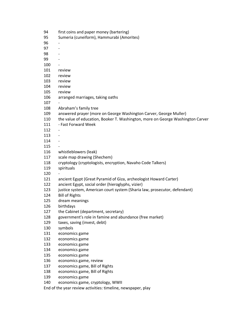| 94  | first coins and paper money (bartering)                                        |
|-----|--------------------------------------------------------------------------------|
| 95  | Sumeria (cuneiform), Hammurabi (Amorites)                                      |
| 96  |                                                                                |
| 97  | $\overline{\phantom{a}}$                                                       |
| 98  |                                                                                |
| 99  |                                                                                |
| 100 |                                                                                |
| 101 | review                                                                         |
| 102 | review                                                                         |
| 103 | review                                                                         |
| 104 | review                                                                         |
| 105 | review                                                                         |
| 106 | arranged marriages, taking oaths                                               |
| 107 |                                                                                |
| 108 | Abraham's family tree                                                          |
| 109 | answered prayer (more on George Washington Carver, George Muller)              |
| 110 | the value of education, Booker T. Washington, more on George Washington Carver |
| 111 | - Fast Forward Week                                                            |
| 112 |                                                                                |
| 113 |                                                                                |
| 114 |                                                                                |
| 115 |                                                                                |
| 116 | whistleblowers (leak)                                                          |
| 117 |                                                                                |
|     | scale map drawing (Shechem)                                                    |
| 118 | cryptology (cryptologists, encryption, Navaho Code Talkers)                    |
| 119 | spirituals                                                                     |
| 120 |                                                                                |
| 121 | ancient Egypt (Great Pyramid of Giza, archeologist Howard Carter)              |
| 122 | ancient Egypt, social order (hieroglyphs, vizier)                              |
| 123 | justice system, American court system (Sharia law, prosecutor, defendant)      |
| 124 | <b>Bill of Rights</b>                                                          |
| 125 | dream meanings                                                                 |
| 126 | birthdays                                                                      |
| 127 | the Cabinet (department, secretary)                                            |
| 128 | government's role in famine and abundance (free market)                        |
| 129 | taxes, saving (invest, debt)                                                   |
| 130 | symbols                                                                        |
| 131 | economics game                                                                 |
| 132 | economics game                                                                 |
| 133 | economics game                                                                 |
| 134 | economics game                                                                 |
| 135 | economics game                                                                 |
| 136 | economics game, review                                                         |
| 137 | economics game, Bill of Rights                                                 |
| 138 | economics game, Bill of Rights                                                 |
| 139 | economics game                                                                 |
| 140 | economics game, cryptology, WWII                                               |
|     | End of the year review activities: timeline, newspaper, play                   |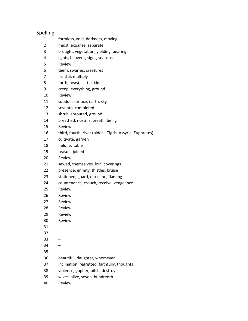| Spelling       |                                                         |
|----------------|---------------------------------------------------------|
| 1              | formless, void, darkness, moving                        |
| $\overline{2}$ | midst, expanse, separate                                |
| 3              | brought, vegetation, yielding, bearing                  |
| 4              | lights, heavens, signs, seasons                         |
| 5              | Review                                                  |
| 6              | teem, swarms, creatures                                 |
| 7              | fruitful, multiply                                      |
| 8              | forth, beast, cattle, kind                              |
| 9              | creep, everything, ground                               |
| 10             | Review                                                  |
| 11             | subdue, surface, earth, sky                             |
| 12             | seventh, completed                                      |
| 13             | shrub, sprouted, ground                                 |
| 14             | breathed, nostrils, breath, being                       |
| 15             | Review                                                  |
| 16             | third, fourth, river (older-Tigris, Assyria, Euphrates) |
| 17             | cultivate, garden                                       |
| 18             | field, suitable                                         |
| 19             | reason, joined                                          |
| 20             | Review                                                  |
| 21             | sewed, themselves, loin, coverings                      |
| 22             | presence, enmity, thistles, bruise                      |
| 23             | stationed, guard, direction, flaming                    |
| 24             | countenance, crouch, receive, vengeance                 |
| 25             | Review                                                  |
| 26             | Review                                                  |
| 27             | Review                                                  |
| 28             | Review                                                  |
| 29             | Review                                                  |
| 30             | Review                                                  |
| 31             |                                                         |
| 32             |                                                         |
| 33             |                                                         |
| 34             |                                                         |
| 35             |                                                         |
| 36             | beautiful, daughter, whomever                           |
| 37             | inclination, regretted, faithfully, thoughts            |
| 38             | violence, gopher, pitch, destroy                        |
| 39             | wives, alive, seven, hundredth                          |
| 40             | Review                                                  |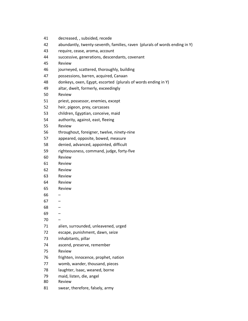| 41 | decreased, , subsided, recede                                              |
|----|----------------------------------------------------------------------------|
| 42 | abundantly, twenty-seventh, families, raven (plurals of words ending in Y) |
| 43 | require, cease, aroma, account                                             |
| 44 | successive, generations, descendants, covenant                             |
| 45 | Review                                                                     |
| 46 | journeyed, scattered, thoroughly, building                                 |
| 47 | possessions, barren, acquired, Canaan                                      |
| 48 | donkeys, oxen, Egypt, escorted (plurals of words ending in Y)              |
| 49 | altar, dwelt, formerly, exceedingly                                        |
| 50 | Review                                                                     |
| 51 | priest, possessor, enemies, except                                         |
| 52 | heir, pigeon, prey, carcasses                                              |
| 53 | children, Egyptian, conceive, maid                                         |
| 54 | authority, against, east, fleeing                                          |
| 55 | Review                                                                     |
| 56 | throughout, foreigner, twelve, ninety-nine                                 |
| 57 | appeared, opposite, bowed, measure                                         |
| 58 | denied, advanced, appointed, difficult                                     |
| 59 | righteousness, command, judge, forty-five                                  |
| 60 | Review                                                                     |
| 61 | Review                                                                     |
| 62 | Review                                                                     |
| 63 | Review                                                                     |
| 64 | Review                                                                     |
| 65 | Review                                                                     |
| 66 | -                                                                          |
| 67 |                                                                            |
| 68 |                                                                            |
| 69 |                                                                            |
| 70 |                                                                            |
| 71 | alien, surrounded, unleavened, urged                                       |
| 72 | escape, punishment, dawn, seize                                            |
| 73 | inhabitants, pillar                                                        |
| 74 | ascend, preserve, remember                                                 |
| 75 | Review                                                                     |
| 76 | frighten, innocence, prophet, nation                                       |
| 77 | womb, wander, thousand, pieces                                             |
| 78 | laughter, Isaac, weaned, borne                                             |
| 79 | maid, listen, die, angel                                                   |
| 80 | Review                                                                     |
| 81 | swear, therefore, falsely, army                                            |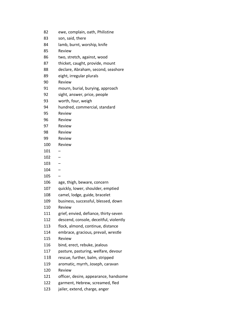| 82  | ewe, complain, oath, Philistine        |
|-----|----------------------------------------|
| 83  | son, said, there                       |
| 84  | lamb, burnt, worship, knife            |
| 85  | Review                                 |
| 86  | two, stretch, against, wood            |
| 87  | thicket, caught, provide, mount        |
| 88  | declare, Abraham, second, seashore     |
| 89  | eight, irregular plurals               |
| 90  | Review                                 |
| 91  | mourn, burial, burying, approach       |
| 92  | sight, answer, price, people           |
| 93  | worth, four, weigh                     |
| 94  | hundred, commercial, standard          |
| 95  | Review                                 |
| 96  | Review                                 |
| 97  | Review                                 |
| 98  | Review                                 |
| 99  | Review                                 |
| 100 | Review                                 |
| 101 |                                        |
| 102 |                                        |
| 103 |                                        |
| 104 |                                        |
| 105 |                                        |
| 106 | age, thigh, beware, concern            |
| 107 | quickly, lower, shoulder, emptied      |
| 108 | camel, lodge, guide, bracelet          |
| 109 | business, successful, blessed, down    |
| 110 | Review                                 |
| 111 | grief, envied, defiance, thirty-seven  |
| 112 | descend, console, deceitful, violently |
| 113 | flock, almond, continue, distance      |
| 114 | embrace, gracious, prevail, wrestle    |
| 115 | Review                                 |
| 116 | bind, erect, rebuke, jealous           |
| 117 | pasture, pasturing, welfare, devour    |
| 118 | rescue, further, balm, stripped        |
| 119 | aromatic, myrrh, Joseph, caravan       |
| 120 | Review                                 |
| 121 | officer, desire, appearance, handsome  |
| 122 | garment, Hebrew, screamed, fled        |
| 123 | jailer, extend, charge, anger          |
|     |                                        |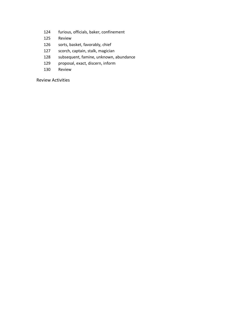- furious, officials, baker, confinement
- Review
- sorts, basket, favorably, chief
- scorch, captain, stalk, magician
- subsequent, famine, unknown, abundance
- proposal, exact, discern, inform
- Review

Review Activities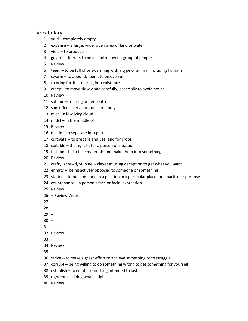#### Vocabulary

- void completely empty
- expanse -- a large, wide, open area of land or water
- yield to produce
- govern to rule, to be in control over a group of people
- Review
- teem to be full of or swarming with a type of animal, including humans
- swarm to abound, teem, to be overrun
- to bring forth to bring into existence
- creep to move slowly and carefully, especially to avoid notice
- Review
- subdue to bring under control
- sanctified set apart, declared holy
- mist a low lying cloud
- midst in the middle of
- Review
- divide to separate into parts
- cultivate -- to prepare and use land for crops
- suitable the right fit for a person or situation
- fashioned to take materials and make them into something
- Review
- crafty, shrewd, vulpine -- clever at using deception to get what you want
- enmity being actively opposed to someone or something
- station to put someone in a position in a particular place for a particular purpose
- countenance a person's face or facial expression
- Review
- Review Week
- $27 -$
- –
- $29 -$
- $30 -$
- $31 -$
- Review
- –
- Review
- $35 -$
- strive -- to make a great effort to achieve something or to struggle
- corrupt being willing to do something wrong to get something for yourself
- establish to create something intended to last
- righteous doing what is right
- Review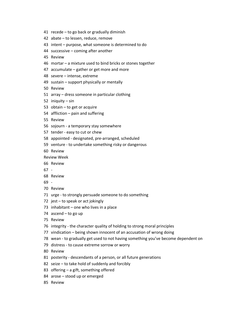- recede to go back or gradually diminish
- abate to lessen, reduce, remove
- intent purpose, what someone is determined to do
- successive coming after another
- Review
- mortar a mixture used to bind bricks or stones together
- accumulate gather or get more and more
- severe intense, extreme
- sustain support physically or mentally
- Review
- array dress someone in particular clothing
- iniquity sin
- obtain to get or acquire
- affliction pain and suffering
- Review
- sojourn a temporary stay somewhere
- tender easy to cut or chew
- appointed designated, pre-arranged, scheduled
- venture to undertake something risky or dangerous
- Review
- Review Week
- Review
- -
- Review
- -
- Review
- urge to strongly persuade someone to do something
- jest to speak or act jokingly
- inhabitant one who lives in a place
- ascend to go up
- Review
- integrity the character quality of holding to strong moral principles
- vindication being shown innocent of an accusation of wrong doing
- wean to gradually get used to not having something you've become dependent on
- distress to cause extreme sorrow or worry
- Review
- posterity descendants of a person, or all future generations
- seize to take hold of suddenly and forcibly
- offering a gift, something offered
- arose stood up or emerged
- Review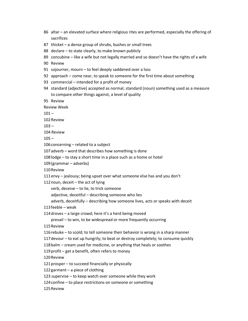- 86 altar an elevated surface where religious rites are performed, especially the offering of sacrifices
- 87 thicket a dense group of shrubs, bushes or small trees
- 88 declare to state clearly, to make known publicly
- 89 concubine like a wife but not legally married and so doesn't have the rights of a wife
- 90 Review
- 91 sojourner, mourn to feel deeply saddened over a loss
- 92 approach come near, to speak to someone for the first time about something
- 93 commercial intended for a profit of money
- 94 standard (adjective) accepted as normal, standard (noun) something used as a measure to compare other things against, a level of quality
- 95 Review

Review Week

 $101 -$ 

102Review

 $103 -$ 

104 Review

 $105 -$ 

106 concerning - related to a subject

107adverb – word that describes how something is done

- 108lodge to stay a short time in a place such as a home or hotel
- 109(grammar adverbs)
- 110Review
- 111envy jealousy; being upset over what someone else has and you don't

112 noun, deceit  $-$  the act of lying

verb, deceive – to lie, to trick someone

adjective, deceitful – describing someone who lies

adverb, deceitfully – describing how someone lives, acts or speaks with deceit

113feeble – weak

114droves – a large crowd; here it's a herd being moved

prevail – to win, to be widespread or more frequently occurring

115Review

116rebuke – to scold; to tell someone their behavior is wrong in a sharp manner

117devour – to eat up hungrily; to beat or destroy completely; to consume quickly

118balm – cream used for medicine, or anything that heals or soothes

119profit – get a benefit, often refers to money

120Review

121prosper – to succeed financially or physically

122garment – a piece of clothing

123 supervise – to keep watch over someone while they work

124confine – to place restrictions on someone or something

125Review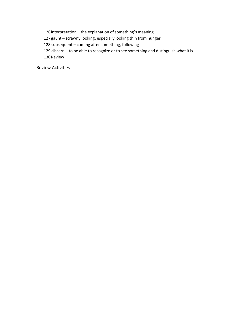126interpretation – the explanation of something's meaning

127gaunt – scrawny looking, especially looking thin from hunger

128 subsequent – coming after something, following

129 discern – to be able to recognize or to see something and distinguish what it is 130Review

Review Activities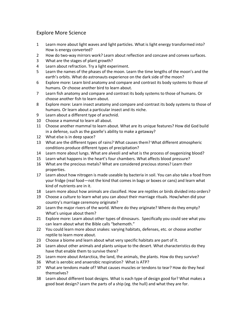## Explore More Science

- 1 Learn more about light waves and light particles. What is light energy transformed into? How is energy converted?
- 2 How do two-way mirrors work? Learn about reflection and concave and convex surfaces.
- 3 What are the stages of plant growth?
- 4 Learn about refraction. Try a light experiment.
- 5 Learn the names of the phases of the moon. Learn the time lengths of the moon's and the earth's orbits. What do astronauts experience on the dark side of the moon?
- 6 Explore more: Learn bird anatomy and compare and contrast its body systems to those of humans. Or choose another bird to learn about.
- 7 Learn fish anatomy and compare and contrast its body systems to those of humans. Or choose another fish to learn about.
- 8 Explore more: Learn insect anatomy and compare and contrast its body systems to those of humans. Or learn about a particular insect and its niche.
- 9 Learn about a different type of arachnid.
- 10 Choose a mammal to learn all about.
- 11 Choose another mammal to learn about. What are its unique features? How did God build in a defense, such as the gazelle's ability to make a getaway?
- 12 What else is in deep space?
- 13 What are the different types of rains? What causes them? What different atmospheric conditions produce different types of precipitation?
- 14 Learn more about lungs. What are alveoli and what is the process of oxygenizing blood?
- 15 Learn what happens in the heart's four chambers. What affects blood pressure?
- 16 What are the precious metals? What are considered precious stones? Learn their properties.
- 17 Learn about how nitrogen is made useable by bacteria in soil. You can also take a food from your fridge (real food—not the kind that comes in bags or boxes or cans) and learn what kind of nutrients are in it.
- 18 Learn more about how animals are classified. How are reptiles or birds divided into orders?
- 19 Choose a culture to learn what you can about their marriage rituals. How/when did your country's marriage ceremony originate?
- 20 Learn the major rivers of the world. Where do they originate? Where do they empty? What's unique about them?
- 21 Explore more: Learn about other types of dinosaurs. Specifically you could see what you can learn about what the Bible calls "behemoth."
- 22 You could learn more about snakes: varying habitats, defenses, etc. or choose another reptile to learn more about.
- 23 Choose a biome and learn about what very specific habitats are part of it.
- 24 Learn about other animals and plants unique to the desert. What characteristics do they have that enable them to survive there?
- 25 Learn more about Antarctica, the land, the animals, the plants. How do they survive?
- 36 What is aerobic and anaerobic respiration? What is ATP?
- 37 What are tendons made of? What causes muscles or tendons to tear? How do they heal themselves?
- 38 Learn about different boat designs. What is each type of design good for? What makes a good boat design? Learn the parts of a ship (eg. the hull) and what they are for.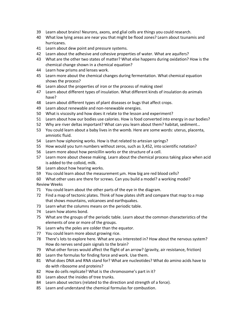- 39 Learn about brains! Neurons, axons, and glial cells are things you could research.
- 40 What low lying areas are near you that might be flood zones? Learn about tsunamis and hurricanes.
- 41 Learn about dew point and pressure systems.
- 42 Learn about the adhesive and cohesive properties of water. What are aquifers?
- 43 What are the other two states of matter? What else happens during oxidation? How is the chemical change shown in a chemical equation?
- 44 Learn how prisms and lenses work.
- 45 Learn more about the chemical changes during fermentation. What chemical equation shows the process?
- 46 Learn about the properties of iron or the process of making steel
- 47 Learn about different types of insulation. What different kinds of insulation do animals have?
- 48 Learn about different types of plant diseases or bugs that affect crops.
- 49 Learn about renewable and non-renewable energies.
- 50 What is viscosity and how does it relate to the lesson and experiment?
- 51 Learn about how our bodies use calories. How is food converted into energy in our bodies?
- 52 Why are river deltas important? What can you learn about them? habitat, sediment…
- 53 You could learn about a baby lives in the womb. Here are some words: uterus, placenta, amniotic fluid.
- 54 Learn how siphoning works. How is that related to artesian springs?
- 55 How would you turn numbers without zeros, such as 3,452, into scientific notation?
- 56 Learn more about how penicillin works or the structure of a cell.
- 57 Learn more about cheese making. Learn about the chemical process taking place when acid is added to the colloid, milk.
- 58 Learn about how hearing works.
- 59 You could learn about the measurement µm. How big are red blood cells?
- 60 What other uses are there for screws. Can you build a model? a working model? Review Weeks
- 71 You could learn about the other parts of the eye in the diagram.
- 72 Find a map of tectonic plates. Think of how plates shift and compare that map to a map that shows mountains, volcanoes and earthquakes.
- 73 Learn what the columns means on the periodic table.
- 74 Learn how atoms bond.
- 75 What are the groups of the periodic table. Learn about the common characteristics of the elements of one or more of the groups.
- 76 Learn why the poles are colder than the equator.
- 77 You could learn more about growing rice.
- 78 There's lots to explore here. What are you interested in? How about the nervous system? How do nerves send pain signals to the brain?
- 79 What other forces would affect the flight of an arrow? (gravity, air resistance, friction)
- 80 Learn the formulas for finding force and work. Use them.
- 81 What does DNA and RNA stand for? What are nucleotides? What do amino acids have to do with ribosome and proteins?
- 82 How do cells replicate? What is the chromosome's part in it?
- 83 Learn about the insides of tree trunks.
- 84 Learn about vectors (related to the direction and strength of a force).
- 85 Learn and understand the chemical formulas for combustion.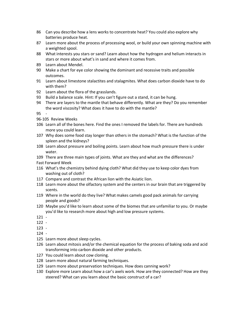- Can you describe how a lens works to concentrate heat? You could also explore why batteries produce heat.
- Learn more about the process of processing wool, or build your own spinning machine with a weighted spool.
- What interests you stars or sand? Learn about how the hydrogen and helium interacts in stars or more about what's in sand and where it comes from.
- Learn about Mendel.
- Make a chart for eye color showing the dominant and recessive traits and possible outcomes.
- Learn about limestone stalactites and stalagmites. What does carbon dioxide have to do with them?
- Learn about the flora of the grasslands.
- Build a balance scale. Hint: If you can't figure out a stand, it can be hung.
- There are layers to the mantle that behave differently. What are they? Do you remember the word viscosity? What does it have to do with the mantle?

-

- 96-105 Review Weeks
- Learn all of the bones here. Find the ones I removed the labels for. There are hundreds more you could learn.
- Why does some food stay longer than others in the stomach? What is the function of the spleen and the kidneys?
- Learn about pressure and boiling points. Learn about how much pressure there is under water.
- There are three main types of joints. What are they and what are the differences?
- Fast Forward Week
- What's the chemistry behind dying cloth? What did they use to keep color dyes from washing out of cloth?
- Compare and contrast the African lion with the Asiatic lion.
- Learn more about the olfactory system and the centers in our brain that are triggered by scents.
- Where in the world do they live? What makes camels good pack animals for carrying people and goods?
- Maybe you'd like to learn about some of the biomes that are unfamiliar to you. Or maybe you'd like to research more about high and low pressure systems.
- $121 -$
- -
- -
- -
- Learn more about sleep cycles.
- Learn about mitosis and/or the chemical equation for the process of baking soda and acid transforming into carbon dioxide and other products.
- You could learn about cow cloning.
- Learn more about natural farming techniques.
- Learn more about preservation techniques. How does canning work?
- Explore more Learn about how a car's axels work. How are they connected? How are they steered? What can you learn about the basic construct of a car?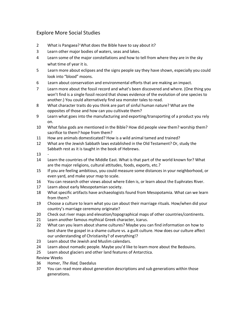## Explore More Social Studies

- 2 What is Pangaea? What does the Bible have to say about it?
- 3 Learn other major bodies of waters, seas and lakes.
- 4 Learn some of the major constellations and how to tell from where they are in the sky what time of year it is.
- 5 Learn more about eclipses and the signs people say they have shown, especially you could look into "blood" moons.
- 6 Learn about conservation and environmental efforts that are making an impact.
- 7 Learn more about the fossil record and what's been discovered and where. (One thing you won't find is a single fossil record that shows evidence of the evolution of one species to another.) You could alternatively find sea monster tales to read.
- 8 What character traits do you think are part of sinful human nature? What are the opposites of those and how can you cultivate them?
- 9 Learn what goes into the manufacturing and exporting/transporting of a product you rely on.
- 10 What false gods are mentioned in the Bible? How did people view them? worship them? sacrifice to them? hope from them?
- 11 How are animals domesticated? How is a wild animal tamed and trained?
- 12 What are the Jewish Sabbath laws established in the Old Testament? Or, study the Sabbath rest as it is taught in the book of Hebrews.
- 13 -
- 14 Learn the countries of the Middle East. What is that part of the world known for? What are the major religions, cultural attitudes, foods, exports, etc.?
- 15 If you are feeling ambitious, you could measure some distances in your neighborhood, or even yard, and make your map to scale.
- 16 You can research other views about where Eden is, or learn about the Euphrates River.
- 17 Learn about early Mesopotamian society.
- 18 What specific artifacts have archaeologists found from Mesopotamia. What can we learn from them?
- 19 Choose a culture to learn what you can about their marriage rituals. How/when did your country's marriage ceremony originate?
- 20 Check out river maps and elevation/topographical maps of other countries/continents.
- 21 Learn another famous mythical Greek character, Icarus.
- 22 What can you learn about shame cultures? Maybe you can find information on how to best share the gospel in a shame culture vs. a guilt culture. How does our culture affect our understanding of Christianity? of everything!?
- 23 Learn about the Jewish and Muslim calendars.
- 24 Learn about nomadic people. Maybe you'd like to learn more about the Bedouins.
- 25 Learn about glaciers and other land features of Antarctica.

Review Weeks

- 36 Homer, *The Iliad,* Daedalus
- 37 You can read more about generation descriptions and sub generations within those generations.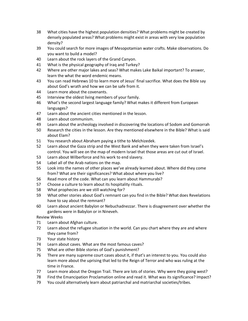- 38 What cities have the highest population densities? What problems might be created by densely populated areas? What problems might exist in areas with very low population density?
- 39 You could search for more images of Mesopotamian water crafts. Make observations. Do you want to build a model?
- 40 Learn about the rock layers of the Grand Canyon.
- 41 What is the physical geography of Iraq and Turkey?
- 42 Where are other major lakes and seas? What makes Lake Baikal important? To answer, learn the what the word endemic means.
- 43 You can read Hebrews 10 to learn more of Jesus' final sacrifice. What does the Bible say about God's wrath and how we can be safe from it.
- 44 Learn more about the covenants.
- 45 Interview the oldest living members of your family.
- 46 What's the second largest language family? What makes it different from European languages?
- 47 Learn about the ancient cities mentioned in the lesson.
- 48 Learn about communism.
- 49 Learn about the archeology involved in discovering the locations of Sodom and Gomorrah
- 50 Research the cities in the lesson. Are they mentioned elsewhere in the Bible? What is said about Elam?
- 51 You research about Abraham paying a tithe to Melchizedek.
- 52 Learn about the Gaza strip and the West Bank and when they were taken from Israel's control. You will see on the map of modern Israel that those areas are cut out of Israel.
- 53 Learn about Wilberforce and his work to end slavery.
- 54 Label all of the Arab nations on the map.
- 55 Look into the names of other places we've already learned about. Where did they come from? What are their significances? What about where you live?
- 56 Read more of the code. What can you learn about Hammurabi?
- 57 Choose a culture to learn about its hospitality rituals.
- 58 What prophecies are we still watching for?
- 59 What other stories about God's remnant can you find in the Bible? What does Revelations have to say about the remnant?
- 60 Learn about ancient Babylon or Nebuchadnezzar. There is disagreement over whether the gardens were in Babylon or in Nineveh.
- Review Weeks
- 71 Learn about Afghan culture.
- 72 Learn about the refugee situation in the world. Can you chart where they are and where they came from?
- 73 Your state history
- 74 Learn about caves. What are the most famous caves?
- 75 What are other Bible stories of God's punishment?
- 76 There are many supreme court cases about it, if that's an interest to you. You could also learn more about the uprising that led to the Reign of Terror and who was ruling at the time in France.
- 77 Learn more about the Oregon Trail. There are lots of stories. Why were they going west?
- 78 Find the Emancipation Proclamation online and read it. What was its significance? Impact?
- 79 You could alternatively learn about patriarchal and matriarchal societies/tribes.